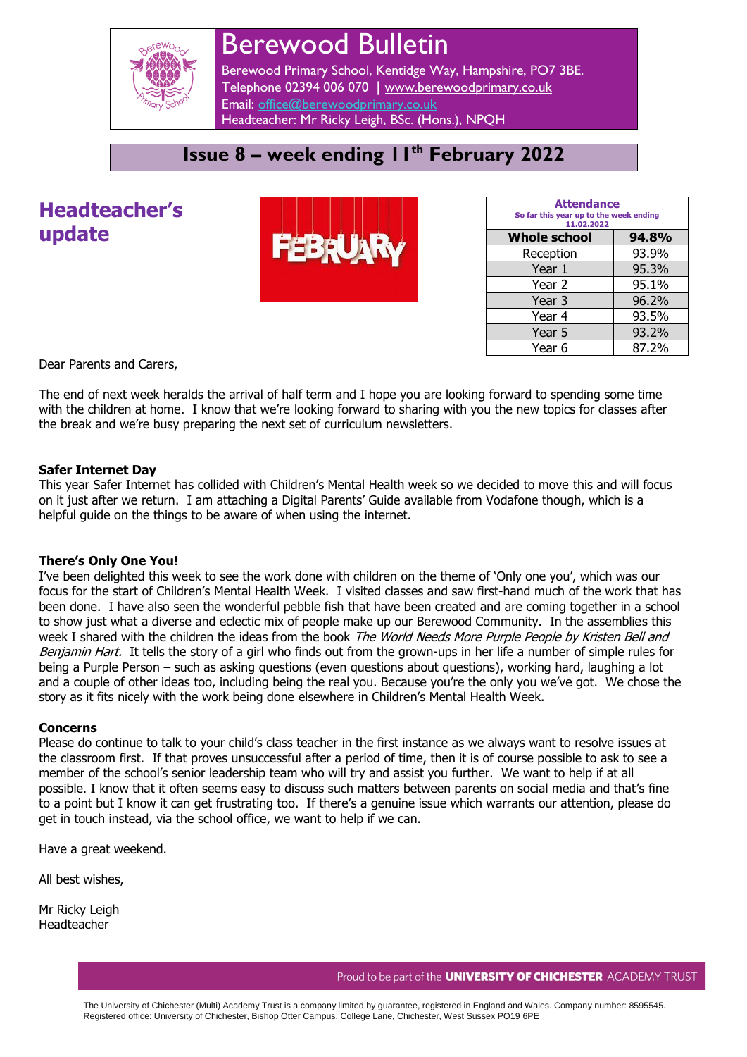

# Berewood Bulletin

Berewood Primary School, Kentidge Way, Hampshire, PO7 3BE. Telephone 02394 006 070 **|** [www.berewoodprimary.co.uk](http://www.berewoodprimary.co.uk/) Email: [office@berewoodprimary.co.uk](mailto:office@berewoodprimary.co.uk) Headteacher: Mr Ricky Leigh, BSc. (Hons.), NPQH

## **Issue 8 – week ending 11th February 2022**

# **Headteacher's update**



| <b>Attendance</b><br>So far this year up to the week ending<br>11.02.2022 |       |  |
|---------------------------------------------------------------------------|-------|--|
| <b>Whole school</b>                                                       | 94.8% |  |
| Reception                                                                 | 93.9% |  |
| Year 1                                                                    | 95.3% |  |
| Year 2                                                                    | 95.1% |  |
| Year <sub>3</sub>                                                         | 96.2% |  |
| Year 4                                                                    | 93.5% |  |
| Year 5                                                                    | 93.2% |  |
| Year 6                                                                    | 87.2% |  |

Dear Parents and Carers,

The end of next week heralds the arrival of half term and I hope you are looking forward to spending some time with the children at home. I know that we're looking forward to sharing with you the new topics for classes after the break and we're busy preparing the next set of curriculum newsletters.

### **Safer Internet Day**

This year Safer Internet has collided with Children's Mental Health week so we decided to move this and will focus on it just after we return. I am attaching a Digital Parents' Guide available from Vodafone though, which is a helpful guide on the things to be aware of when using the internet.

#### **There's Only One You!**

I've been delighted this week to see the work done with children on the theme of 'Only one you', which was our focus for the start of Children's Mental Health Week. I visited classes and saw first-hand much of the work that has been done. I have also seen the wonderful pebble fish that have been created and are coming together in a school to show just what a diverse and eclectic mix of people make up our Berewood Community. In the assemblies this week I shared with the children the ideas from the book The World Needs More Purple People by Kristen Bell and Benjamin Hart. It tells the story of a girl who finds out from the grown-ups in her life a number of simple rules for being a Purple Person – such as asking questions (even questions about questions), working hard, laughing a lot and a couple of other ideas too, including being the real you. Because you're the only you we've got. We chose the story as it fits nicely with the work being done elsewhere in Children's Mental Health Week.

#### **Concerns**

Please do continue to talk to your child's class teacher in the first instance as we always want to resolve issues at the classroom first. If that proves unsuccessful after a period of time, then it is of course possible to ask to see a member of the school's senior leadership team who will try and assist you further. We want to help if at all possible. I know that it often seems easy to discuss such matters between parents on social media and that's fine to a point but I know it can get frustrating too. If there's a genuine issue which warrants our attention, please do get in touch instead, via the school office, we want to help if we can.

Have a great weekend.

All best wishes,

Mr Ricky Leigh Headteacher

The University of Chichester (Multi) Academy Trust is a company limited by guarantee, registered in England and Wales. Company number: 8595545. Registered office: University of Chichester, Bishop Otter Campus, College Lane, Chichester, West Sussex PO19 6PE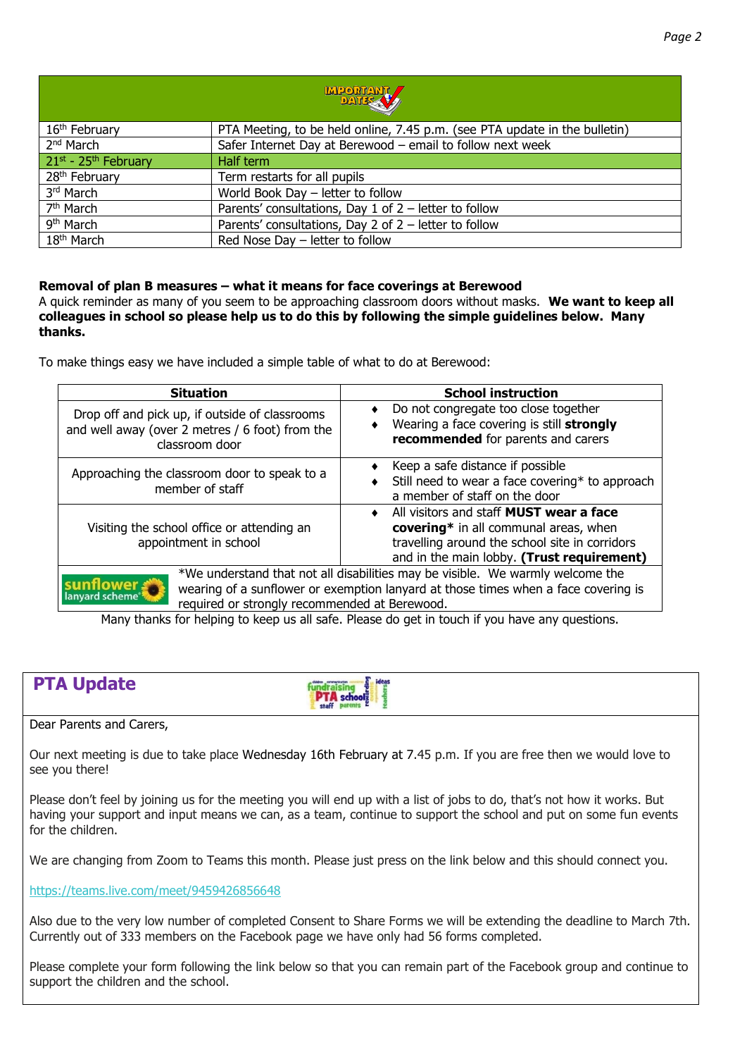| <b>MPORTANT</b>                       |                                                                            |  |  |  |
|---------------------------------------|----------------------------------------------------------------------------|--|--|--|
| 16 <sup>th</sup> February             | PTA Meeting, to be held online, 7.45 p.m. (see PTA update in the bulletin) |  |  |  |
| 2 <sup>nd</sup> March                 | Safer Internet Day at Berewood - email to follow next week                 |  |  |  |
| $21^{st}$ - 25 <sup>th</sup> February | Half term                                                                  |  |  |  |
| 28 <sup>th</sup> February             | Term restarts for all pupils                                               |  |  |  |
| 3 <sup>rd</sup> March                 | World Book Day - letter to follow                                          |  |  |  |
| 7 <sup>th</sup> March                 | Parents' consultations, Day 1 of $2$ – letter to follow                    |  |  |  |
| 9 <sup>th</sup> March                 | Parents' consultations, Day 2 of $2$ – letter to follow                    |  |  |  |
| $18th$ March                          | Red Nose Day - letter to follow                                            |  |  |  |

#### **Removal of plan B measures – what it means for face coverings at Berewood**

A quick reminder as many of you seem to be approaching classroom doors without masks. **We want to keep all colleagues in school so please help us to do this by following the simple guidelines below. Many thanks.**

To make things easy we have included a simple table of what to do at Berewood:

| <b>Situation</b>                                                                                                    | <b>School instruction</b>                                                                                                                                                               |
|---------------------------------------------------------------------------------------------------------------------|-----------------------------------------------------------------------------------------------------------------------------------------------------------------------------------------|
| Drop off and pick up, if outside of classrooms<br>and well away (over 2 metres / 6 foot) from the<br>classroom door | Do not congregate too close together<br>Wearing a face covering is still strongly<br>recommended for parents and carers                                                                 |
| Approaching the classroom door to speak to a<br>member of staff                                                     | Keep a safe distance if possible<br>Still need to wear a face covering* to approach<br>a member of staff on the door                                                                    |
| Visiting the school office or attending an<br>appointment in school                                                 | All visitors and staff <b>MUST</b> wear a face<br>covering* in all communal areas, when<br>travelling around the school site in corridors<br>and in the main lobby. (Trust requirement) |
| <b>Inflower</b><br>lanyard scheme®<br>required or strongly recommended at Berewood.                                 | *We understand that not all disabilities may be visible. We warmly welcome the<br>wearing of a sunflower or exemption lanyard at those times when a face covering is                    |

Many thanks for helping to keep us all safe. Please do get in touch if you have any questions.

| <b>PTA Update</b>        | $E$ ideas<br>dildren communication<br><b>PTA</b> school |  |
|--------------------------|---------------------------------------------------------|--|
| Dear Parents and Carers, |                                                         |  |

Our next meeting is due to take place Wednesday 16th February at 7.45 p.m. If you are free then we would love to see you there!

Please don't feel by joining us for the meeting you will end up with a list of jobs to do, that's not how it works. But having your support and input means we can, as a team, continue to support the school and put on some fun events for the children.

We are changing from Zoom to Teams this month. Please just press on the link below and this should connect you.

<https://teams.live.com/meet/9459426856648>

Also due to the very low number of completed Consent to Share Forms we will be extending the deadline to March 7th. Currently out of 333 members on the Facebook page we have only had 56 forms completed.

Please complete your form following the link below so that you can remain part of the Facebook group and continue to support the children and the school.